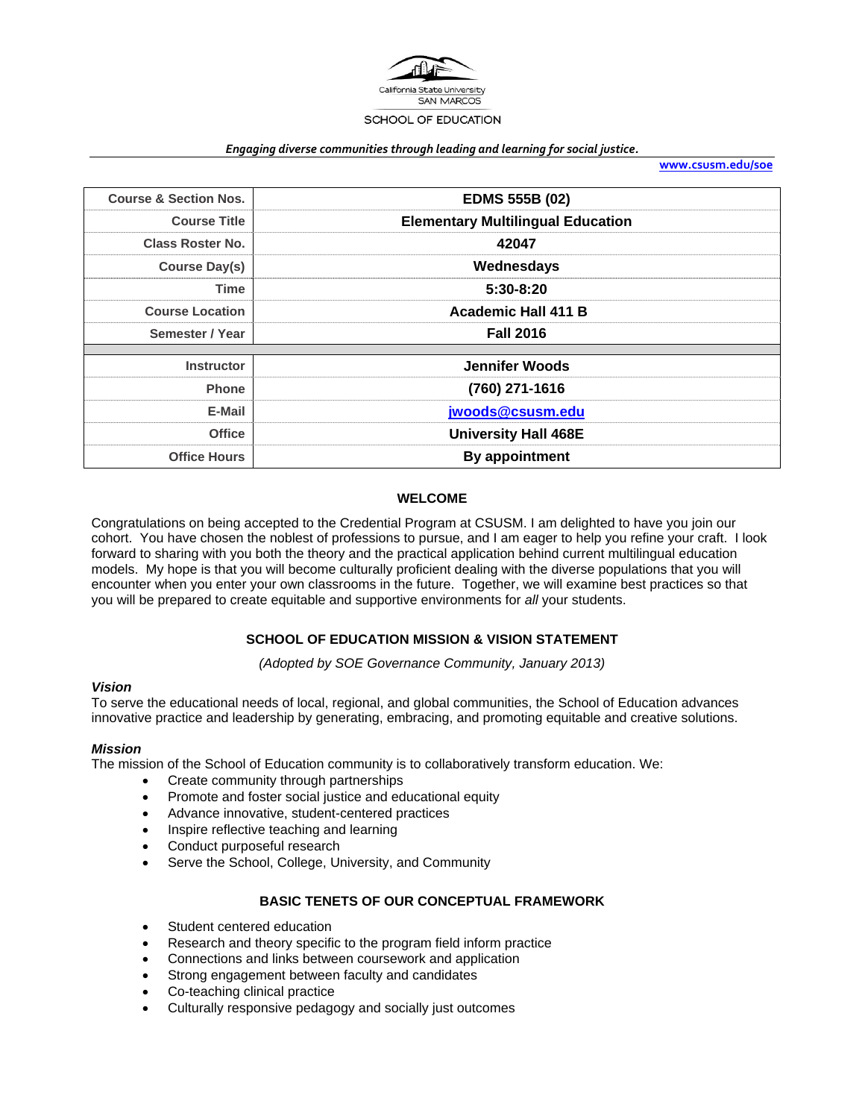

#### *Engaging diverse communities through leading and learning for social justice.*

**www.csusm.edu/soe**

| <b>Course &amp; Section Nos.</b> | <b>EDMS 555B (02)</b>                    |  |  |
|----------------------------------|------------------------------------------|--|--|
| <b>Course Title</b>              | <b>Elementary Multilingual Education</b> |  |  |
| <b>Class Roster No.</b>          | 42047                                    |  |  |
| <b>Course Day(s)</b>             | Wednesdays                               |  |  |
| <b>Time</b>                      | $5:30-8:20$                              |  |  |
| <b>Course Location</b>           | <b>Academic Hall 411 B</b>               |  |  |
| Semester / Year                  | <b>Fall 2016</b>                         |  |  |
|                                  |                                          |  |  |
| <b>Instructor</b>                | <b>Jennifer Woods</b>                    |  |  |
| <b>Phone</b>                     | (760) 271-1616                           |  |  |
| E-Mail                           | jwoods@csusm.edu                         |  |  |
| <b>Office</b>                    | <b>University Hall 468E</b>              |  |  |
| <b>Office Hours</b>              | By appointment                           |  |  |

#### **WELCOME**

Congratulations on being accepted to the Credential Program at CSUSM. I am delighted to have you join our cohort. You have chosen the noblest of professions to pursue, and I am eager to help you refine your craft. I look forward to sharing with you both the theory and the practical application behind current multilingual education models. My hope is that you will become culturally proficient dealing with the diverse populations that you will encounter when you enter your own classrooms in the future. Together, we will examine best practices so that you will be prepared to create equitable and supportive environments for *all* your students.

#### **SCHOOL OF EDUCATION MISSION & VISION STATEMENT**

*(Adopted by SOE Governance Community, January 2013)* 

#### *Vision*

To serve the educational needs of local, regional, and global communities, the School of Education advances innovative practice and leadership by generating, embracing, and promoting equitable and creative solutions.

#### *Mission*

The mission of the School of Education community is to collaboratively transform education. We:

- Create community through partnerships
- Promote and foster social justice and educational equity
- Advance innovative, student-centered practices
- Inspire reflective teaching and learning
- Conduct purposeful research
- Serve the School, College, University, and Community

### **BASIC TENETS OF OUR CONCEPTUAL FRAMEWORK**

- Student centered education
- Research and theory specific to the program field inform practice
- Connections and links between coursework and application
- Strong engagement between faculty and candidates
- Co-teaching clinical practice
- Culturally responsive pedagogy and socially just outcomes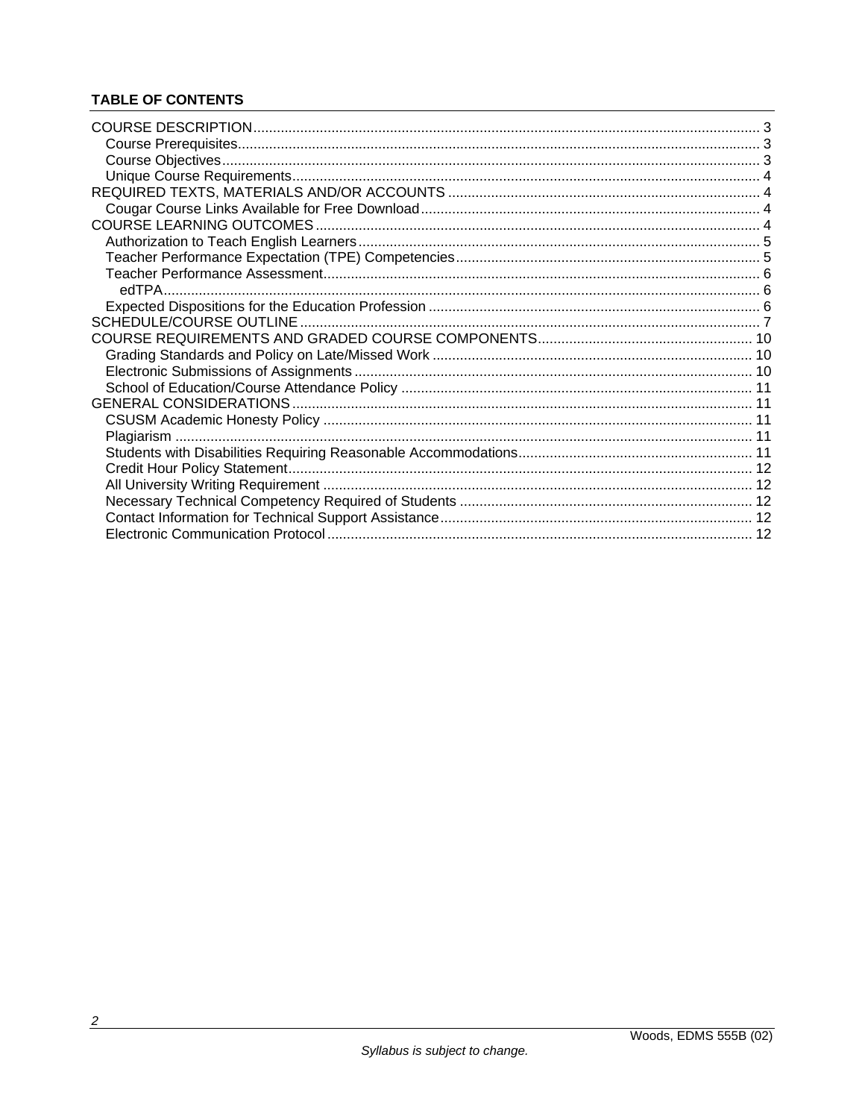# **TABLE OF CONTENTS**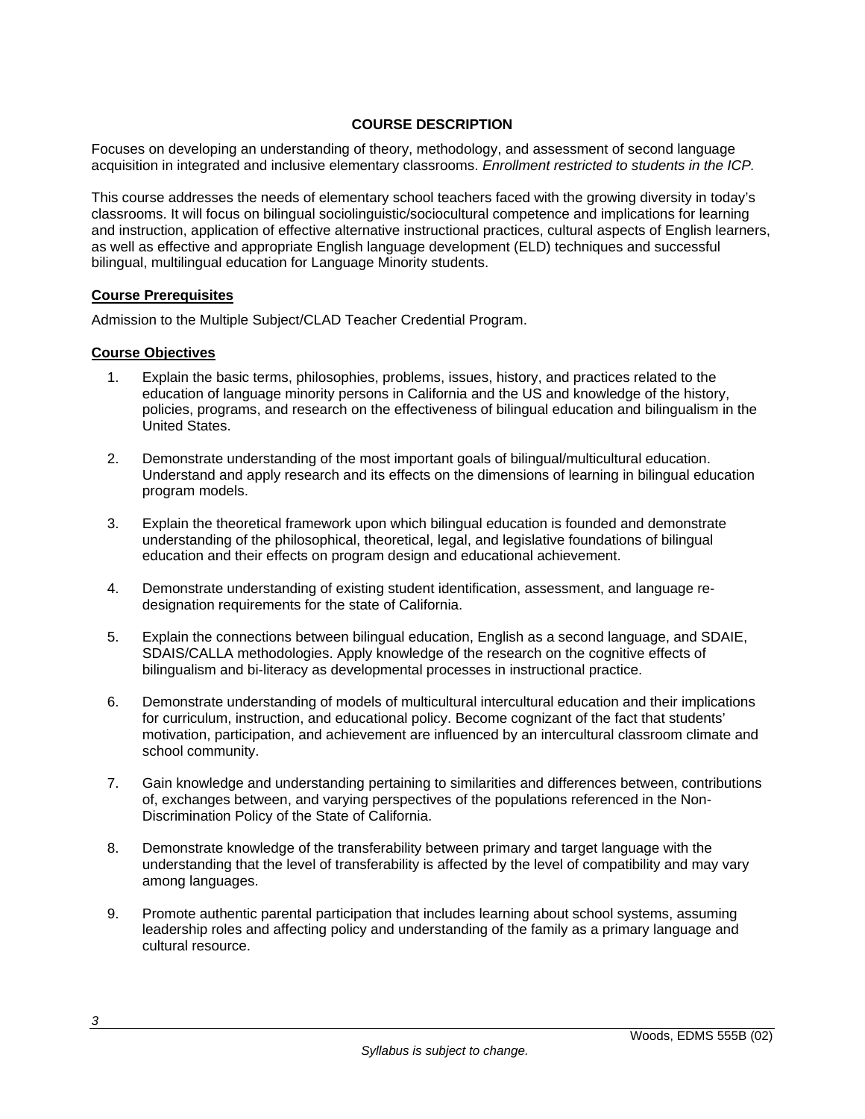### **COURSE DESCRIPTION**

Focuses on developing an understanding of theory, methodology, and assessment of second language acquisition in integrated and inclusive elementary classrooms. *Enrollment restricted to students in the ICP.*

This course addresses the needs of elementary school teachers faced with the growing diversity in today's classrooms. It will focus on bilingual sociolinguistic/sociocultural competence and implications for learning and instruction, application of effective alternative instructional practices, cultural aspects of English learners, as well as effective and appropriate English language development (ELD) techniques and successful bilingual, multilingual education for Language Minority students.

### **Course Prerequisites**

Admission to the Multiple Subject/CLAD Teacher Credential Program.

### **Course Objectives**

- 1. Explain the basic terms, philosophies, problems, issues, history, and practices related to the education of language minority persons in California and the US and knowledge of the history, policies, programs, and research on the effectiveness of bilingual education and bilingualism in the United States.
- 2. Demonstrate understanding of the most important goals of bilingual/multicultural education. Understand and apply research and its effects on the dimensions of learning in bilingual education program models.
- 3. Explain the theoretical framework upon which bilingual education is founded and demonstrate understanding of the philosophical, theoretical, legal, and legislative foundations of bilingual education and their effects on program design and educational achievement.
- 4. Demonstrate understanding of existing student identification, assessment, and language redesignation requirements for the state of California.
- 5. Explain the connections between bilingual education, English as a second language, and SDAIE, SDAIS/CALLA methodologies. Apply knowledge of the research on the cognitive effects of bilingualism and bi-literacy as developmental processes in instructional practice.
- 6. Demonstrate understanding of models of multicultural intercultural education and their implications for curriculum, instruction, and educational policy. Become cognizant of the fact that students' motivation, participation, and achievement are influenced by an intercultural classroom climate and school community.
- 7. Gain knowledge and understanding pertaining to similarities and differences between, contributions of, exchanges between, and varying perspectives of the populations referenced in the Non-Discrimination Policy of the State of California.
- 8. Demonstrate knowledge of the transferability between primary and target language with the understanding that the level of transferability is affected by the level of compatibility and may vary among languages.
- 9. Promote authentic parental participation that includes learning about school systems, assuming leadership roles and affecting policy and understanding of the family as a primary language and cultural resource.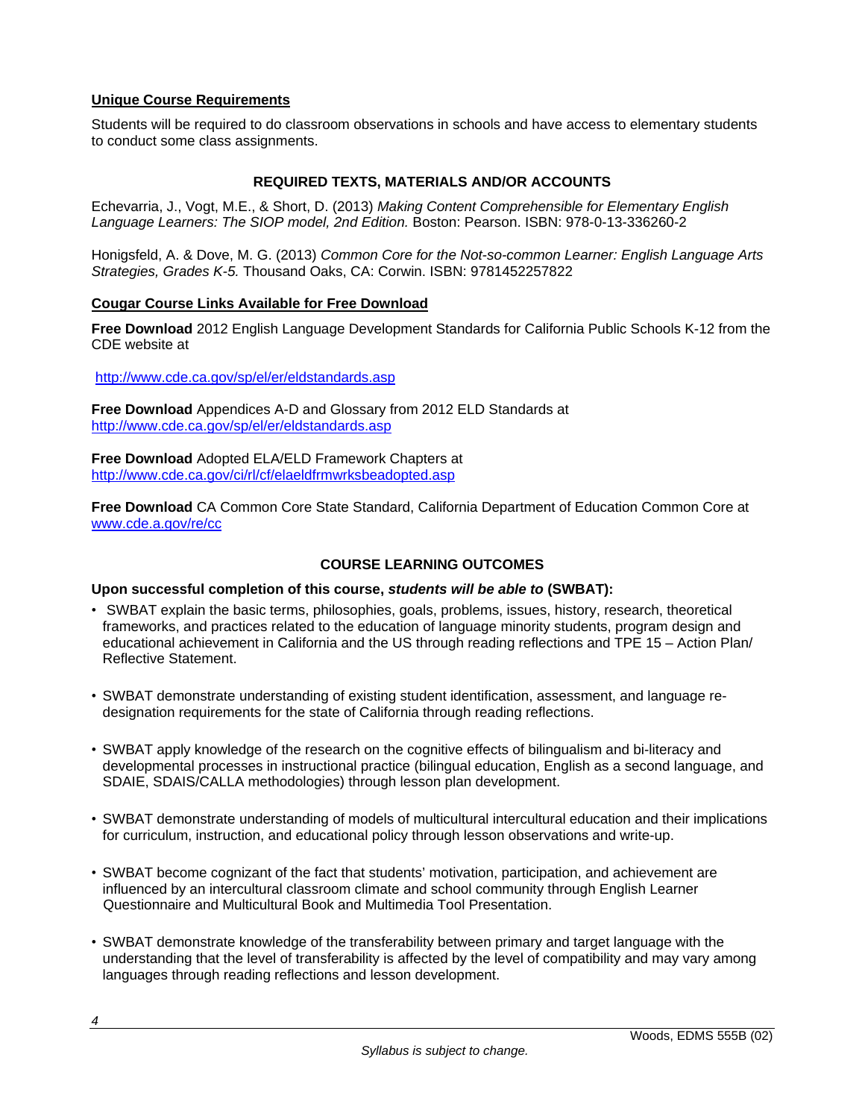### **Unique Course Requirements**

Students will be required to do classroom observations in schools and have access to elementary students to conduct some class assignments.

## **REQUIRED TEXTS, MATERIALS AND/OR ACCOUNTS**

Echevarria, J., Vogt, M.E., & Short, D. (2013) *Making Content Comprehensible for Elementary English Language Learners: The SIOP model, 2nd Edition.* Boston: Pearson. ISBN: 978-0-13-336260-2

Honigsfeld, A. & Dove, M. G. (2013) *Common Core for the Not-so-common Learner: English Language Arts Strategies, Grades K-5.* Thousand Oaks, CA: Corwin. ISBN: 9781452257822

### **Cougar Course Links Available for Free Download**

**Free Download** 2012 English Language Development Standards for California Public Schools K-12 from the CDE website at

http://www.cde.ca.gov/sp/el/er/eldstandards.asp

**Free Download** Appendices A-D and Glossary from 2012 ELD Standards at http://www.cde.ca.gov/sp/el/er/eldstandards.asp

**Free Download** Adopted ELA/ELD Framework Chapters at http://www.cde.ca.gov/ci/rl/cf/elaeldfrmwrksbeadopted.asp

**Free Download** CA Common Core State Standard, California Department of Education Common Core at www.cde.a.gov/re/cc

### **COURSE LEARNING OUTCOMES**

#### **Upon successful completion of this course,** *students will be able to* **(SWBAT):**

- SWBAT explain the basic terms, philosophies, goals, problems, issues, history, research, theoretical frameworks, and practices related to the education of language minority students, program design and educational achievement in California and the US through reading reflections and TPE 15 – Action Plan/ Reflective Statement.
- SWBAT demonstrate understanding of existing student identification, assessment, and language redesignation requirements for the state of California through reading reflections.
- SWBAT apply knowledge of the research on the cognitive effects of bilingualism and bi-literacy and developmental processes in instructional practice (bilingual education, English as a second language, and SDAIE, SDAIS/CALLA methodologies) through lesson plan development.
- SWBAT demonstrate understanding of models of multicultural intercultural education and their implications for curriculum, instruction, and educational policy through lesson observations and write-up.
- SWBAT become cognizant of the fact that students' motivation, participation, and achievement are influenced by an intercultural classroom climate and school community through English Learner Questionnaire and Multicultural Book and Multimedia Tool Presentation.
- SWBAT demonstrate knowledge of the transferability between primary and target language with the understanding that the level of transferability is affected by the level of compatibility and may vary among languages through reading reflections and lesson development.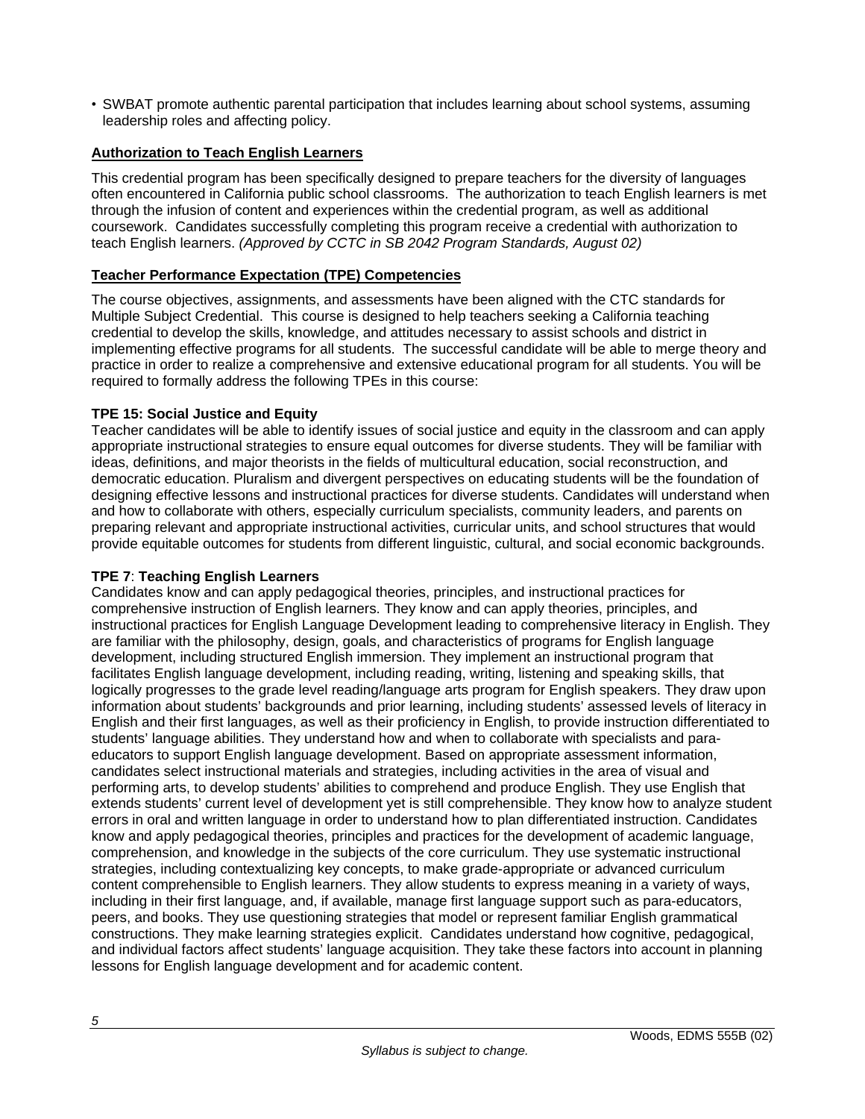• SWBAT promote authentic parental participation that includes learning about school systems, assuming leadership roles and affecting policy.

### **Authorization to Teach English Learners**

This credential program has been specifically designed to prepare teachers for the diversity of languages often encountered in California public school classrooms. The authorization to teach English learners is met through the infusion of content and experiences within the credential program, as well as additional coursework. Candidates successfully completing this program receive a credential with authorization to teach English learners. *(Approved by CCTC in SB 2042 Program Standards, August 02)*

## **Teacher Performance Expectation (TPE) Competencies**

The course objectives, assignments, and assessments have been aligned with the CTC standards for Multiple Subject Credential. This course is designed to help teachers seeking a California teaching credential to develop the skills, knowledge, and attitudes necessary to assist schools and district in implementing effective programs for all students. The successful candidate will be able to merge theory and practice in order to realize a comprehensive and extensive educational program for all students. You will be required to formally address the following TPEs in this course:

### **TPE 15: Social Justice and Equity**

Teacher candidates will be able to identify issues of social justice and equity in the classroom and can apply appropriate instructional strategies to ensure equal outcomes for diverse students. They will be familiar with ideas, definitions, and major theorists in the fields of multicultural education, social reconstruction, and democratic education. Pluralism and divergent perspectives on educating students will be the foundation of designing effective lessons and instructional practices for diverse students. Candidates will understand when and how to collaborate with others, especially curriculum specialists, community leaders, and parents on preparing relevant and appropriate instructional activities, curricular units, and school structures that would provide equitable outcomes for students from different linguistic, cultural, and social economic backgrounds.

### **TPE 7**: **Teaching English Learners**

Candidates know and can apply pedagogical theories, principles, and instructional practices for comprehensive instruction of English learners. They know and can apply theories, principles, and instructional practices for English Language Development leading to comprehensive literacy in English. They are familiar with the philosophy, design, goals, and characteristics of programs for English language development, including structured English immersion. They implement an instructional program that facilitates English language development, including reading, writing, listening and speaking skills, that logically progresses to the grade level reading/language arts program for English speakers. They draw upon information about students' backgrounds and prior learning, including students' assessed levels of literacy in English and their first languages, as well as their proficiency in English, to provide instruction differentiated to students' language abilities. They understand how and when to collaborate with specialists and paraeducators to support English language development. Based on appropriate assessment information, candidates select instructional materials and strategies, including activities in the area of visual and performing arts, to develop students' abilities to comprehend and produce English. They use English that extends students' current level of development yet is still comprehensible. They know how to analyze student errors in oral and written language in order to understand how to plan differentiated instruction. Candidates know and apply pedagogical theories, principles and practices for the development of academic language, comprehension, and knowledge in the subjects of the core curriculum. They use systematic instructional strategies, including contextualizing key concepts, to make grade-appropriate or advanced curriculum content comprehensible to English learners. They allow students to express meaning in a variety of ways, including in their first language, and, if available, manage first language support such as para-educators, peers, and books. They use questioning strategies that model or represent familiar English grammatical constructions. They make learning strategies explicit. Candidates understand how cognitive, pedagogical, and individual factors affect students' language acquisition. They take these factors into account in planning lessons for English language development and for academic content.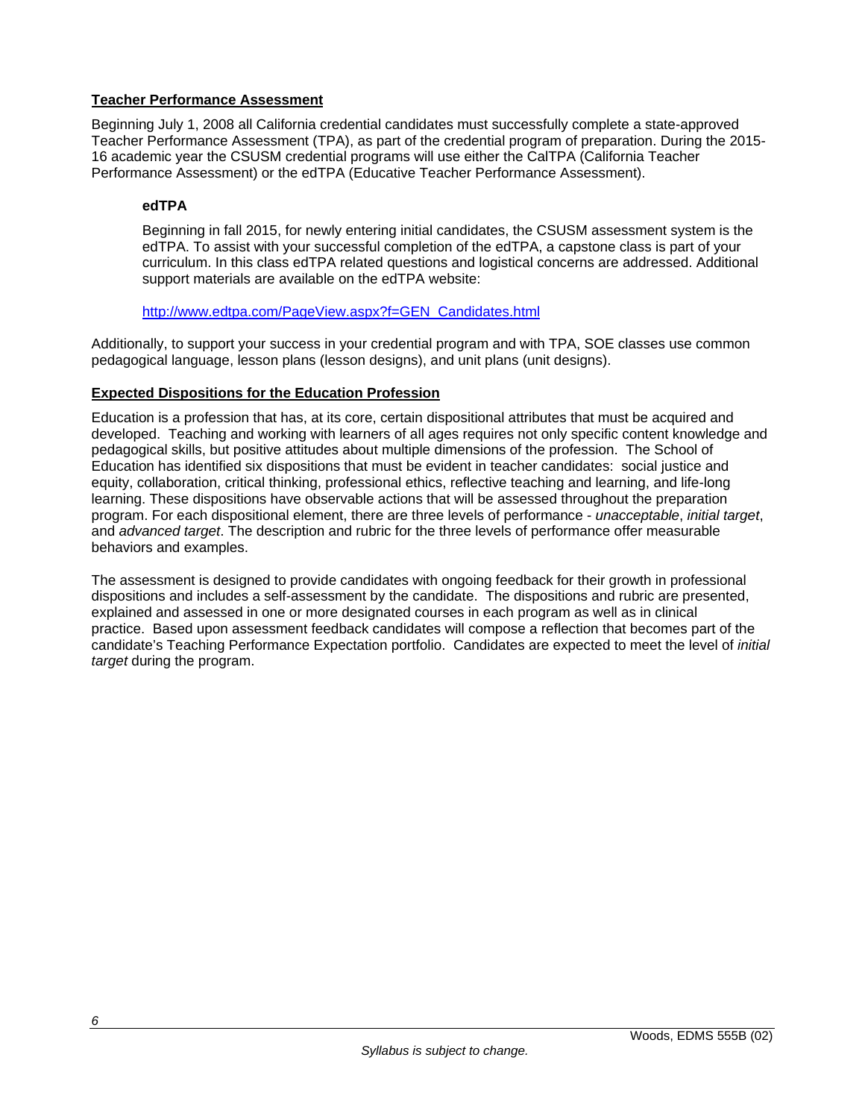### **Teacher Performance Assessment**

Beginning July 1, 2008 all California credential candidates must successfully complete a state-approved Teacher Performance Assessment (TPA), as part of the credential program of preparation. During the 2015- 16 academic year the CSUSM credential programs will use either the CalTPA (California Teacher Performance Assessment) or the edTPA (Educative Teacher Performance Assessment).

## **edTPA**

Beginning in fall 2015, for newly entering initial candidates, the CSUSM assessment system is the edTPA. To assist with your successful completion of the edTPA, a capstone class is part of your curriculum. In this class edTPA related questions and logistical concerns are addressed. Additional support materials are available on the edTPA website:

### http://www.edtpa.com/PageView.aspx?f=GEN\_Candidates.html

Additionally, to support your success in your credential program and with TPA, SOE classes use common pedagogical language, lesson plans (lesson designs), and unit plans (unit designs).

### **Expected Dispositions for the Education Profession**

Education is a profession that has, at its core, certain dispositional attributes that must be acquired and developed. Teaching and working with learners of all ages requires not only specific content knowledge and pedagogical skills, but positive attitudes about multiple dimensions of the profession. The School of Education has identified six dispositions that must be evident in teacher candidates: social justice and equity, collaboration, critical thinking, professional ethics, reflective teaching and learning, and life-long learning. These dispositions have observable actions that will be assessed throughout the preparation program. For each dispositional element, there are three levels of performance - *unacceptable*, *initial target*, and *advanced target*. The description and rubric for the three levels of performance offer measurable behaviors and examples.

The assessment is designed to provide candidates with ongoing feedback for their growth in professional dispositions and includes a self-assessment by the candidate. The dispositions and rubric are presented, explained and assessed in one or more designated courses in each program as well as in clinical practice. Based upon assessment feedback candidates will compose a reflection that becomes part of the candidate's Teaching Performance Expectation portfolio. Candidates are expected to meet the level of *initial target* during the program.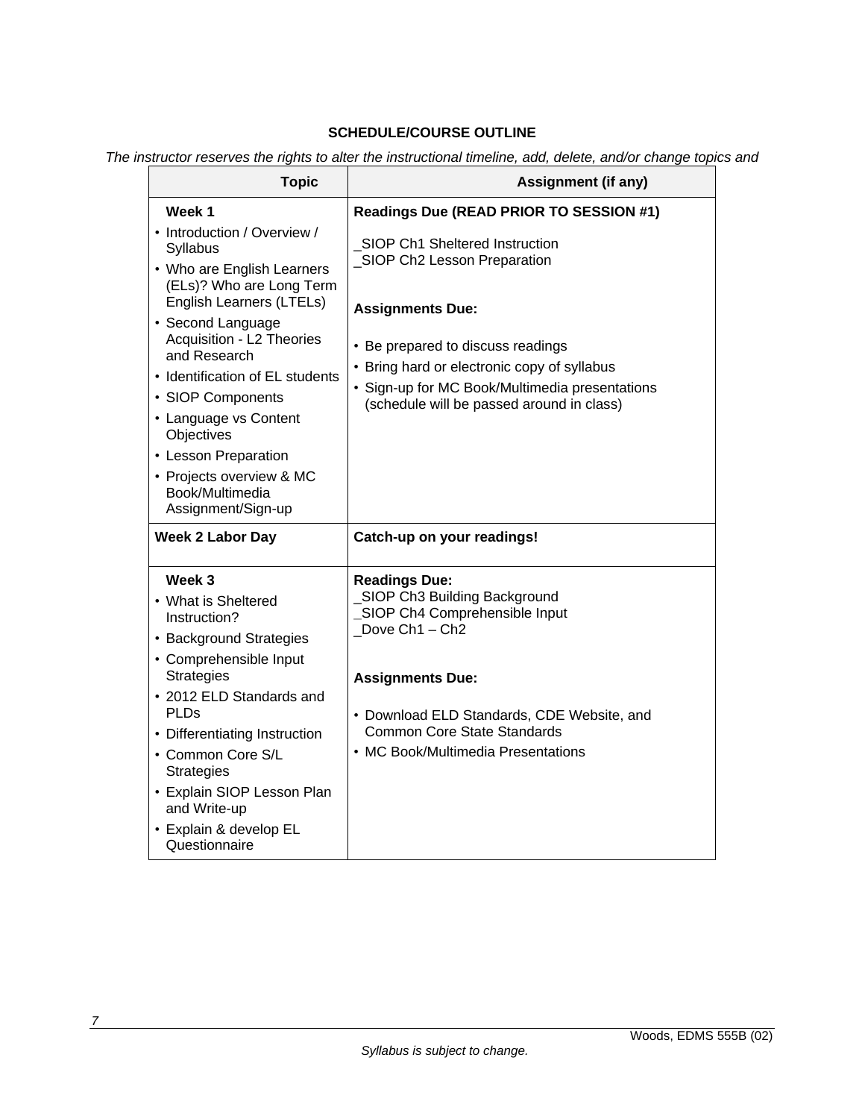# **SCHEDULE/COURSE OUTLINE**

*The instructor reserves the rights to alter the instructional timeline, add, delete, and/or change topics and* 

| <b>Topic</b>                                                                                                                                                                                                                                                                                                                                                                                | <b>Assignment (if any)</b>                                                                                                                                                                                                                                                   |  |  |
|---------------------------------------------------------------------------------------------------------------------------------------------------------------------------------------------------------------------------------------------------------------------------------------------------------------------------------------------------------------------------------------------|------------------------------------------------------------------------------------------------------------------------------------------------------------------------------------------------------------------------------------------------------------------------------|--|--|
| Week 1                                                                                                                                                                                                                                                                                                                                                                                      | Readings Due (READ PRIOR TO SESSION #1)                                                                                                                                                                                                                                      |  |  |
| • Introduction / Overview /<br>Syllabus<br>• Who are English Learners<br>(ELs)? Who are Long Term<br>English Learners (LTELs)<br>• Second Language<br>Acquisition - L2 Theories<br>and Research<br>• Identification of EL students<br>• SIOP Components<br>• Language vs Content<br>Objectives<br>• Lesson Preparation<br>• Projects overview & MC<br>Book/Multimedia<br>Assignment/Sign-up | SIOP Ch1 Sheltered Instruction<br>_SIOP Ch2 Lesson Preparation<br><b>Assignments Due:</b><br>• Be prepared to discuss readings<br>• Bring hard or electronic copy of syllabus<br>• Sign-up for MC Book/Multimedia presentations<br>(schedule will be passed around in class) |  |  |
| <b>Week 2 Labor Day</b>                                                                                                                                                                                                                                                                                                                                                                     | Catch-up on your readings!                                                                                                                                                                                                                                                   |  |  |
| Week 3<br>• What is Sheltered<br>Instruction?<br>• Background Strategies<br>• Comprehensible Input<br><b>Strategies</b><br>• 2012 ELD Standards and<br>PLDs<br>• Differentiating Instruction<br>• Common Core S/L<br><b>Strategies</b><br>• Explain SIOP Lesson Plan<br>and Write-up<br>• Explain & develop EL<br>Questionnaire                                                             | <b>Readings Due:</b><br>SIOP Ch3 Building Background<br>SIOP Ch4 Comprehensible Input<br>Dove Ch1 - Ch2<br><b>Assignments Due:</b><br>• Download ELD Standards, CDE Website, and<br><b>Common Core State Standards</b><br>• MC Book/Multimedia Presentations                 |  |  |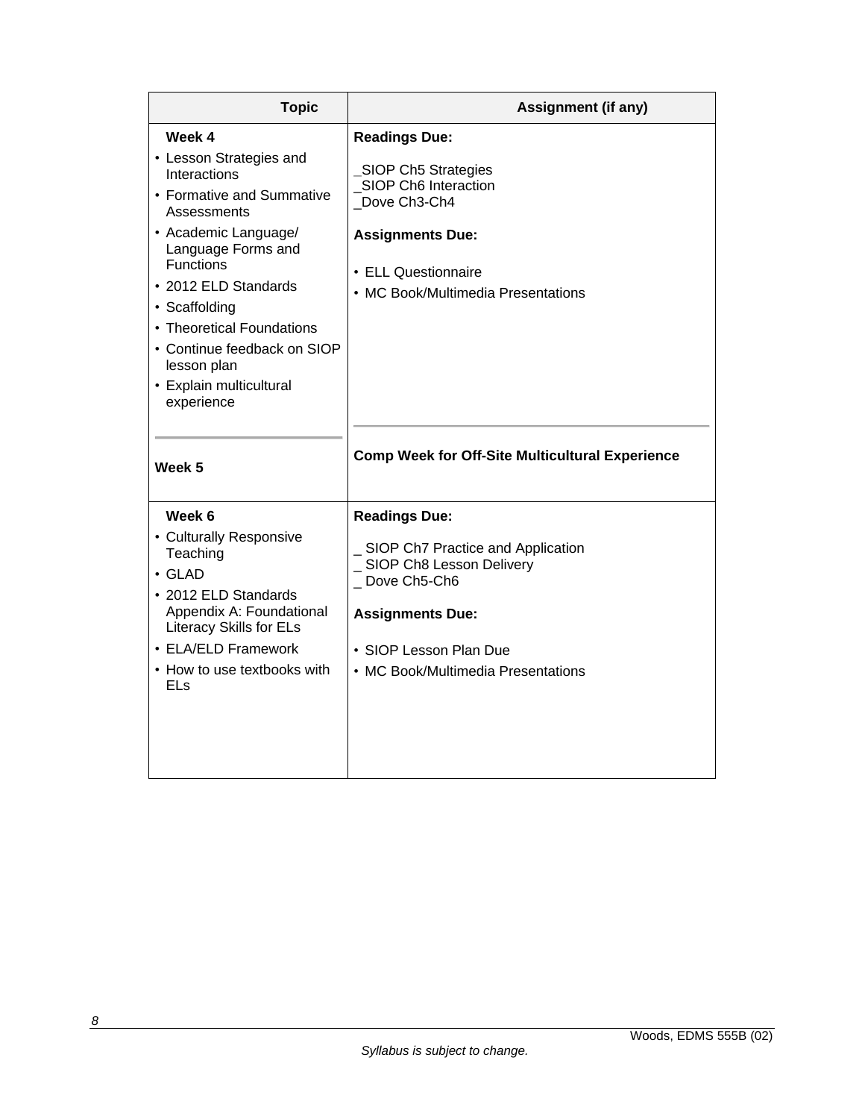| <b>Topic</b>                                                                                                                                                                                                                                                                                                                 | <b>Assignment (if any)</b>                                                                                                                                                                          |  |  |
|------------------------------------------------------------------------------------------------------------------------------------------------------------------------------------------------------------------------------------------------------------------------------------------------------------------------------|-----------------------------------------------------------------------------------------------------------------------------------------------------------------------------------------------------|--|--|
| Week 4<br>• Lesson Strategies and<br>Interactions<br>• Formative and Summative<br>Assessments<br>• Academic Language/<br>Language Forms and<br><b>Functions</b><br>• 2012 ELD Standards<br>• Scaffolding<br>• Theoretical Foundations<br>• Continue feedback on SIOP<br>lesson plan<br>• Explain multicultural<br>experience | <b>Readings Due:</b><br>SIOP Ch5 Strategies<br>SIOP Ch6 Interaction<br>Dove Ch3-Ch4<br><b>Assignments Due:</b><br>• ELL Questionnaire<br>• MC Book/Multimedia Presentations                         |  |  |
| Week 5                                                                                                                                                                                                                                                                                                                       | <b>Comp Week for Off-Site Multicultural Experience</b>                                                                                                                                              |  |  |
| Week 6<br>• Culturally Responsive<br>Teaching<br>$\cdot$ GLAD<br>• 2012 ELD Standards<br>Appendix A: Foundational<br><b>Literacy Skills for ELs</b><br>• ELA/ELD Framework<br>• How to use textbooks with<br>ELs                                                                                                             | <b>Readings Due:</b><br>SIOP Ch7 Practice and Application<br>_ SIOP Ch8 Lesson Delivery<br>_Dove Ch5-Ch6<br><b>Assignments Due:</b><br>• SIOP Lesson Plan Due<br>• MC Book/Multimedia Presentations |  |  |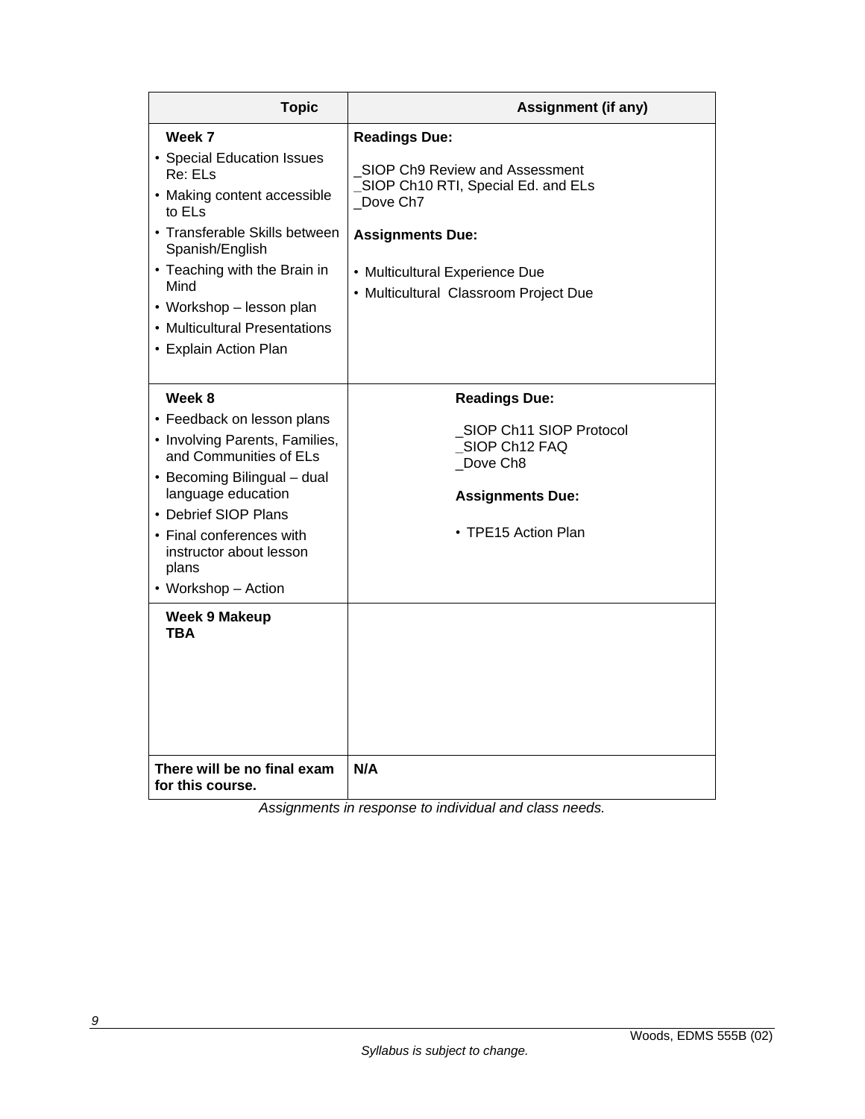| <b>Topic</b>                                             | <b>Assignment (if any)</b>                                              |  |  |
|----------------------------------------------------------|-------------------------------------------------------------------------|--|--|
| Week 7                                                   | <b>Readings Due:</b>                                                    |  |  |
| • Special Education Issues<br>Re: ELs                    | SIOP Ch9 Review and Assessment<br>SIOP Ch10 RTI, Special Ed. and ELs    |  |  |
| • Making content accessible<br>to EL <sub>S</sub>        | Dove Ch7                                                                |  |  |
| • Transferable Skills between<br>Spanish/English         | <b>Assignments Due:</b>                                                 |  |  |
| • Teaching with the Brain in<br>Mind                     | • Multicultural Experience Due<br>• Multicultural Classroom Project Due |  |  |
| • Workshop – lesson plan                                 |                                                                         |  |  |
| • Multicultural Presentations                            |                                                                         |  |  |
| • Explain Action Plan                                    |                                                                         |  |  |
|                                                          |                                                                         |  |  |
| Week 8                                                   | <b>Readings Due:</b>                                                    |  |  |
| • Feedback on lesson plans                               | SIOP Ch11 SIOP Protocol                                                 |  |  |
| • Involving Parents, Families,<br>and Communities of ELs | SIOP Ch12 FAQ                                                           |  |  |
| • Becoming Bilingual - dual                              | Dove Ch8                                                                |  |  |
| language education                                       | <b>Assignments Due:</b>                                                 |  |  |
| • Debrief SIOP Plans                                     |                                                                         |  |  |
| • Final conferences with                                 | • TPE15 Action Plan                                                     |  |  |
| instructor about lesson<br>plans                         |                                                                         |  |  |
| • Workshop - Action                                      |                                                                         |  |  |
| <b>Week 9 Makeup</b><br><b>TBA</b>                       |                                                                         |  |  |
| There will be no final exam<br>for this course.          | N/A                                                                     |  |  |

*Assignments in response to individual and class needs.*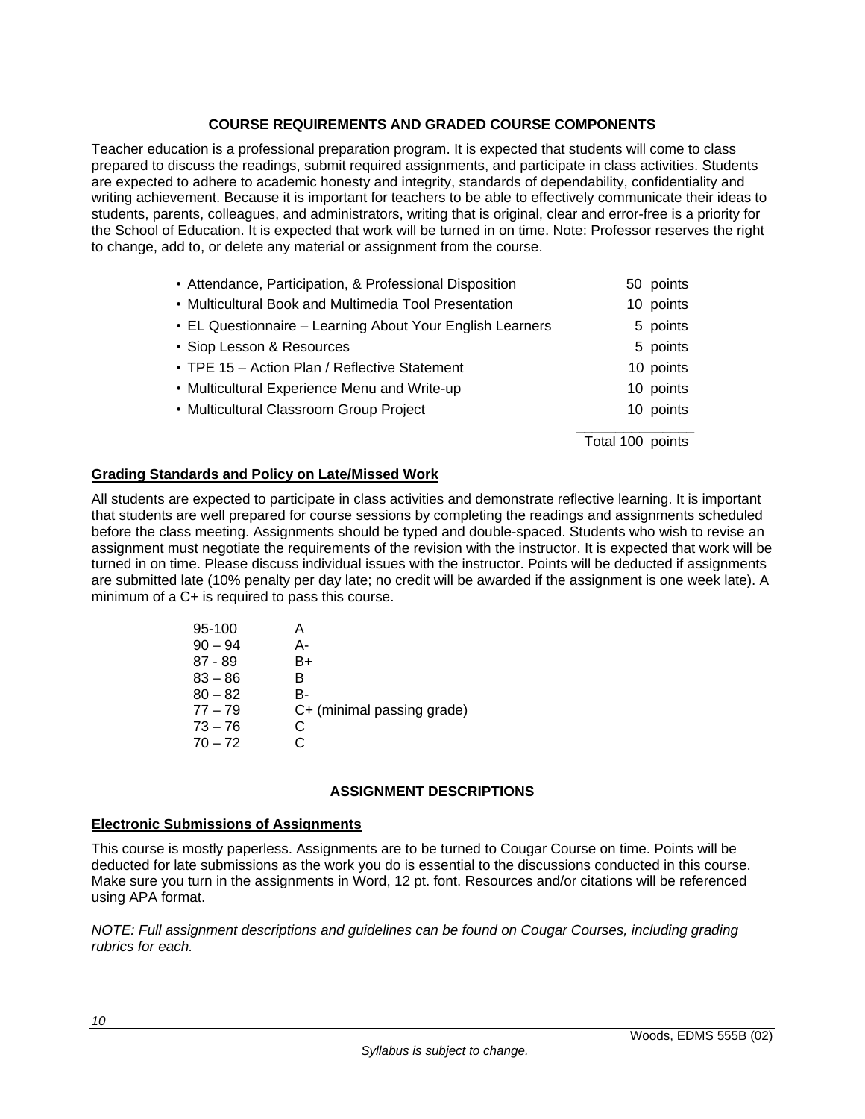## **COURSE REQUIREMENTS AND GRADED COURSE COMPONENTS**

Teacher education is a professional preparation program. It is expected that students will come to class prepared to discuss the readings, submit required assignments, and participate in class activities. Students are expected to adhere to academic honesty and integrity, standards of dependability, confidentiality and writing achievement. Because it is important for teachers to be able to effectively communicate their ideas to students, parents, colleagues, and administrators, writing that is original, clear and error-free is a priority for the School of Education. It is expected that work will be turned in on time. Note: Professor reserves the right to change, add to, or delete any material or assignment from the course.

| • Attendance, Participation, & Professional Disposition   | 50 points        |
|-----------------------------------------------------------|------------------|
| • Multicultural Book and Multimedia Tool Presentation     | 10 points        |
| • EL Questionnaire - Learning About Your English Learners | 5 points         |
| • Siop Lesson & Resources                                 | 5 points         |
| • TPE 15 - Action Plan / Reflective Statement             | 10 points        |
| • Multicultural Experience Menu and Write-up              | 10 points        |
| • Multicultural Classroom Group Project                   | 10 points        |
|                                                           | Total 100 points |

## **Grading Standards and Policy on Late/Missed Work**

All students are expected to participate in class activities and demonstrate reflective learning. It is important that students are well prepared for course sessions by completing the readings and assignments scheduled before the class meeting. Assignments should be typed and double-spaced. Students who wish to revise an assignment must negotiate the requirements of the revision with the instructor. It is expected that work will be turned in on time. Please discuss individual issues with the instructor. Points will be deducted if assignments are submitted late (10% penalty per day late; no credit will be awarded if the assignment is one week late). A minimum of a C+ is required to pass this course.

| 95-100    |    |                            |
|-----------|----|----------------------------|
| $90 - 94$ | А- |                            |
| $87 - 89$ | B+ |                            |
| $83 - 86$ | B. |                            |
| $80 - 82$ | B- |                            |
| $77 - 79$ |    | C+ (minimal passing grade) |
| $73 - 76$ | C  |                            |
| $70 - 72$ |    |                            |
|           |    |                            |

### **ASSIGNMENT DESCRIPTIONS**

#### **Electronic Submissions of Assignments**

This course is mostly paperless. Assignments are to be turned to Cougar Course on time. Points will be deducted for late submissions as the work you do is essential to the discussions conducted in this course. Make sure you turn in the assignments in Word, 12 pt. font. Resources and/or citations will be referenced using APA format.

*NOTE: Full assignment descriptions and guidelines can be found on Cougar Courses, including grading rubrics for each.*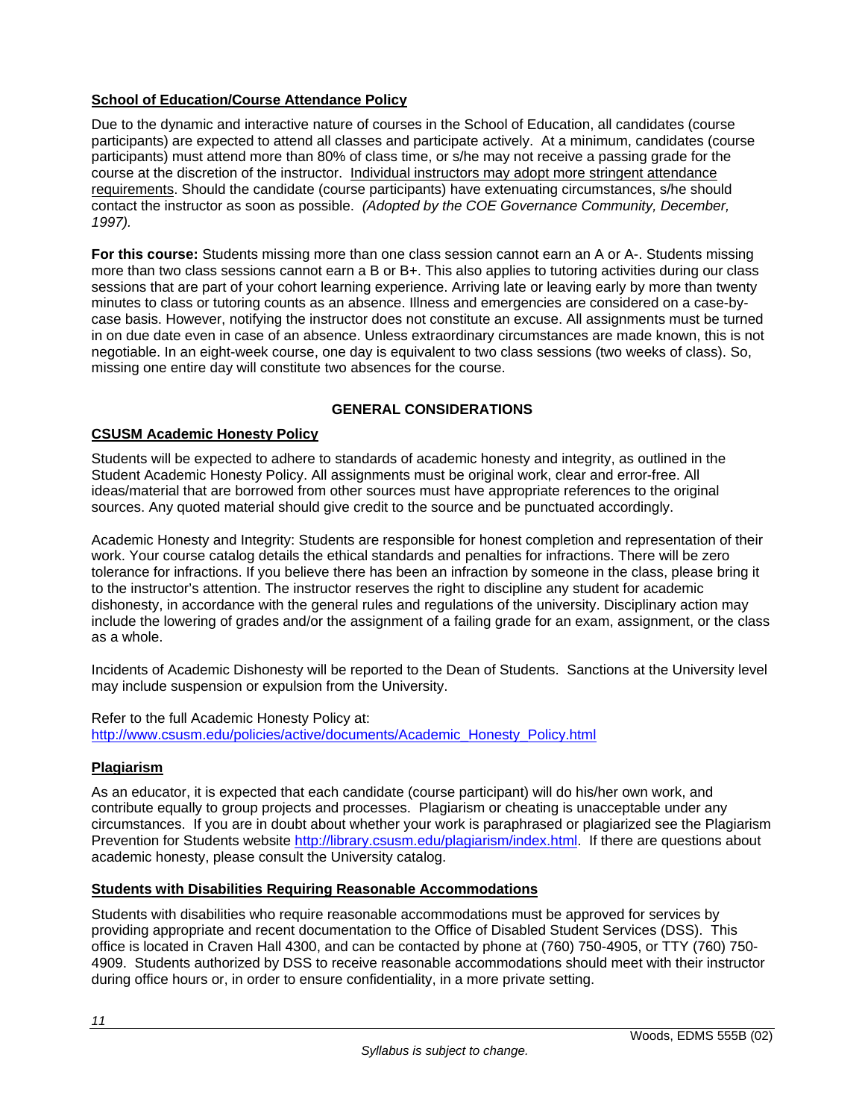# **School of Education/Course Attendance Policy**

Due to the dynamic and interactive nature of courses in the School of Education, all candidates (course participants) are expected to attend all classes and participate actively. At a minimum, candidates (course participants) must attend more than 80% of class time, or s/he may not receive a passing grade for the course at the discretion of the instructor. Individual instructors may adopt more stringent attendance requirements. Should the candidate (course participants) have extenuating circumstances, s/he should contact the instructor as soon as possible. *(Adopted by the COE Governance Community, December, 1997).*

**For this course:** Students missing more than one class session cannot earn an A or A-. Students missing more than two class sessions cannot earn a B or B+. This also applies to tutoring activities during our class sessions that are part of your cohort learning experience. Arriving late or leaving early by more than twenty minutes to class or tutoring counts as an absence. Illness and emergencies are considered on a case-bycase basis. However, notifying the instructor does not constitute an excuse. All assignments must be turned in on due date even in case of an absence. Unless extraordinary circumstances are made known, this is not negotiable. In an eight-week course, one day is equivalent to two class sessions (two weeks of class). So, missing one entire day will constitute two absences for the course.

## **GENERAL CONSIDERATIONS**

### **CSUSM Academic Honesty Policy**

Students will be expected to adhere to standards of academic honesty and integrity, as outlined in the Student Academic Honesty Policy. All assignments must be original work, clear and error-free. All ideas/material that are borrowed from other sources must have appropriate references to the original sources. Any quoted material should give credit to the source and be punctuated accordingly.

Academic Honesty and Integrity: Students are responsible for honest completion and representation of their work. Your course catalog details the ethical standards and penalties for infractions. There will be zero tolerance for infractions. If you believe there has been an infraction by someone in the class, please bring it to the instructor's attention. The instructor reserves the right to discipline any student for academic dishonesty, in accordance with the general rules and regulations of the university. Disciplinary action may include the lowering of grades and/or the assignment of a failing grade for an exam, assignment, or the class as a whole.

Incidents of Academic Dishonesty will be reported to the Dean of Students. Sanctions at the University level may include suspension or expulsion from the University.

Refer to the full Academic Honesty Policy at: http://www.csusm.edu/policies/active/documents/Academic\_Honesty\_Policy.html

### **Plagiarism**

As an educator, it is expected that each candidate (course participant) will do his/her own work, and contribute equally to group projects and processes. Plagiarism or cheating is unacceptable under any circumstances. If you are in doubt about whether your work is paraphrased or plagiarized see the Plagiarism Prevention for Students website http://library.csusm.edu/plagiarism/index.html. If there are questions about academic honesty, please consult the University catalog.

### **Students with Disabilities Requiring Reasonable Accommodations**

Students with disabilities who require reasonable accommodations must be approved for services by providing appropriate and recent documentation to the Office of Disabled Student Services (DSS). This office is located in Craven Hall 4300, and can be contacted by phone at (760) 750-4905, or TTY (760) 750- 4909. Students authorized by DSS to receive reasonable accommodations should meet with their instructor during office hours or, in order to ensure confidentiality, in a more private setting.